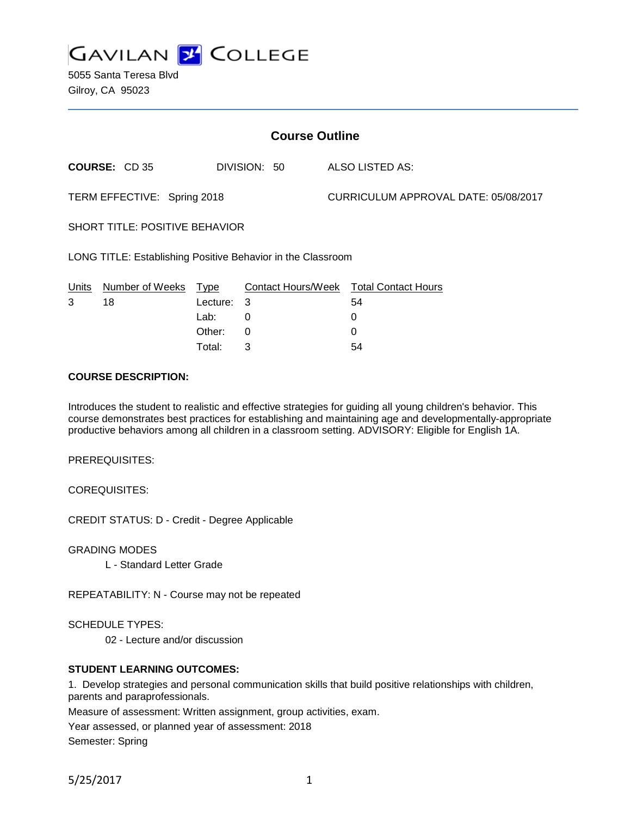

5055 Santa Teresa Blvd Gilroy, CA 95023

| <b>Course Outline</b>                                       |                      |             |              |  |                                        |  |
|-------------------------------------------------------------|----------------------|-------------|--------------|--|----------------------------------------|--|
|                                                             | <b>COURSE: CD 35</b> |             | DIVISION: 50 |  | ALSO LISTED AS:                        |  |
| TERM EFFECTIVE: Spring 2018                                 |                      |             |              |  | CURRICULUM APPROVAL DATE: 05/08/2017   |  |
| <b>SHORT TITLE: POSITIVE BEHAVIOR</b>                       |                      |             |              |  |                                        |  |
| LONG TITLE: Establishing Positive Behavior in the Classroom |                      |             |              |  |                                        |  |
| Units                                                       | Number of Weeks      | <u>Type</u> |              |  | Contact Hours/Week Total Contact Hours |  |
| 3                                                           | 18                   | Lecture:    | 3            |  | 54                                     |  |
|                                                             |                      | Lab:        | 0            |  | 0                                      |  |
|                                                             |                      | Other:      | 0            |  | 0                                      |  |
|                                                             |                      | Total:      | 3            |  | 54                                     |  |

## **COURSE DESCRIPTION:**

Introduces the student to realistic and effective strategies for guiding all young children's behavior. This course demonstrates best practices for establishing and maintaining age and developmentally-appropriate productive behaviors among all children in a classroom setting. ADVISORY: Eligible for English 1A.

PREREQUISITES:

COREQUISITES:

CREDIT STATUS: D - Credit - Degree Applicable

GRADING MODES

L - Standard Letter Grade

REPEATABILITY: N - Course may not be repeated

SCHEDULE TYPES:

02 - Lecture and/or discussion

## **STUDENT LEARNING OUTCOMES:**

1. Develop strategies and personal communication skills that build positive relationships with children, parents and paraprofessionals.

Measure of assessment: Written assignment, group activities, exam.

Year assessed, or planned year of assessment: 2018 Semester: Spring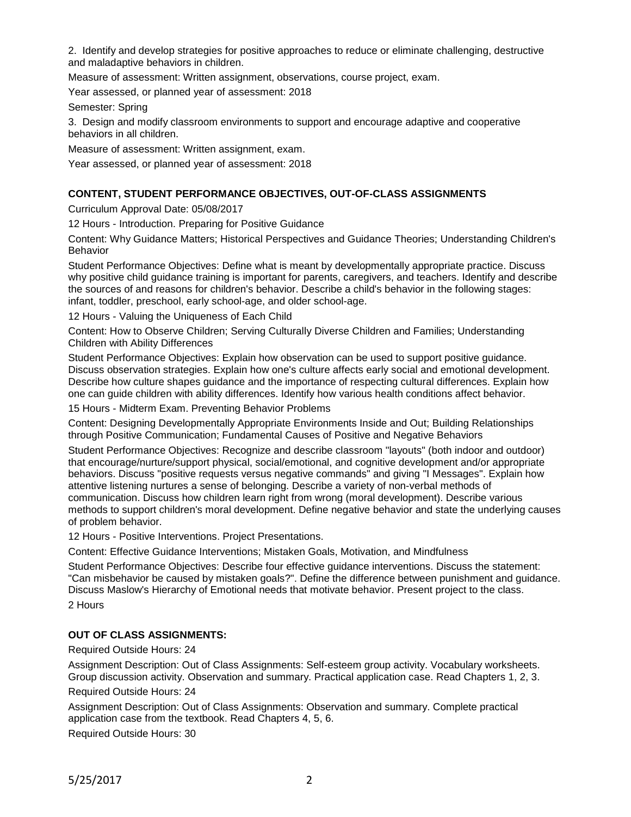2. Identify and develop strategies for positive approaches to reduce or eliminate challenging, destructive and maladaptive behaviors in children.

Measure of assessment: Written assignment, observations, course project, exam.

Year assessed, or planned year of assessment: 2018

Semester: Spring

3. Design and modify classroom environments to support and encourage adaptive and cooperative behaviors in all children.

Measure of assessment: Written assignment, exam.

Year assessed, or planned year of assessment: 2018

# **CONTENT, STUDENT PERFORMANCE OBJECTIVES, OUT-OF-CLASS ASSIGNMENTS**

Curriculum Approval Date: 05/08/2017

12 Hours - Introduction. Preparing for Positive Guidance

Content: Why Guidance Matters; Historical Perspectives and Guidance Theories; Understanding Children's Behavior

Student Performance Objectives: Define what is meant by developmentally appropriate practice. Discuss why positive child guidance training is important for parents, caregivers, and teachers. Identify and describe the sources of and reasons for children's behavior. Describe a child's behavior in the following stages: infant, toddler, preschool, early school-age, and older school-age.

12 Hours - Valuing the Uniqueness of Each Child

Content: How to Observe Children; Serving Culturally Diverse Children and Families; Understanding Children with Ability Differences

Student Performance Objectives: Explain how observation can be used to support positive guidance. Discuss observation strategies. Explain how one's culture affects early social and emotional development. Describe how culture shapes guidance and the importance of respecting cultural differences. Explain how one can guide children with ability differences. Identify how various health conditions affect behavior.

15 Hours - Midterm Exam. Preventing Behavior Problems

Content: Designing Developmentally Appropriate Environments Inside and Out; Building Relationships through Positive Communication; Fundamental Causes of Positive and Negative Behaviors

Student Performance Objectives: Recognize and describe classroom "layouts" (both indoor and outdoor) that encourage/nurture/support physical, social/emotional, and cognitive development and/or appropriate behaviors. Discuss "positive requests versus negative commands" and giving "I Messages". Explain how attentive listening nurtures a sense of belonging. Describe a variety of non-verbal methods of communication. Discuss how children learn right from wrong (moral development). Describe various methods to support children's moral development. Define negative behavior and state the underlying causes of problem behavior.

12 Hours - Positive Interventions. Project Presentations.

Content: Effective Guidance Interventions; Mistaken Goals, Motivation, and Mindfulness

Student Performance Objectives: Describe four effective guidance interventions. Discuss the statement: "Can misbehavior be caused by mistaken goals?". Define the difference between punishment and guidance. Discuss Maslow's Hierarchy of Emotional needs that motivate behavior. Present project to the class.

2 Hours

## **OUT OF CLASS ASSIGNMENTS:**

Required Outside Hours: 24

Assignment Description: Out of Class Assignments: Self-esteem group activity. Vocabulary worksheets. Group discussion activity. Observation and summary. Practical application case. Read Chapters 1, 2, 3.

Required Outside Hours: 24

Assignment Description: Out of Class Assignments: Observation and summary. Complete practical application case from the textbook. Read Chapters 4, 5, 6.

Required Outside Hours: 30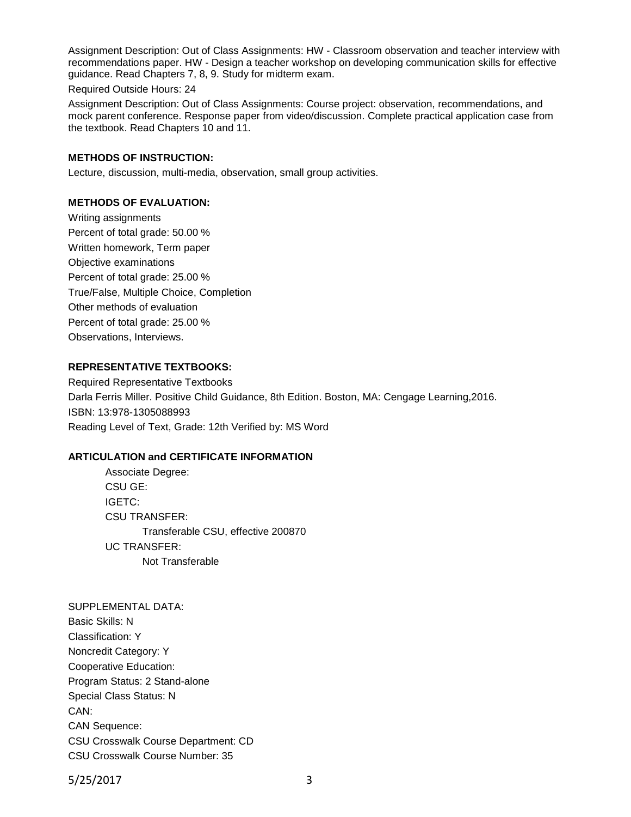Assignment Description: Out of Class Assignments: HW - Classroom observation and teacher interview with recommendations paper. HW - Design a teacher workshop on developing communication skills for effective guidance. Read Chapters 7, 8, 9. Study for midterm exam.

Required Outside Hours: 24

Assignment Description: Out of Class Assignments: Course project: observation, recommendations, and mock parent conference. Response paper from video/discussion. Complete practical application case from the textbook. Read Chapters 10 and 11.

### **METHODS OF INSTRUCTION:**

Lecture, discussion, multi-media, observation, small group activities.

## **METHODS OF EVALUATION:**

Writing assignments Percent of total grade: 50.00 % Written homework, Term paper Objective examinations Percent of total grade: 25.00 % True/False, Multiple Choice, Completion Other methods of evaluation Percent of total grade: 25.00 % Observations, Interviews.

### **REPRESENTATIVE TEXTBOOKS:**

Required Representative Textbooks Darla Ferris Miller. Positive Child Guidance, 8th Edition. Boston, MA: Cengage Learning,2016. ISBN: 13:978-1305088993 Reading Level of Text, Grade: 12th Verified by: MS Word

#### **ARTICULATION and CERTIFICATE INFORMATION**

Associate Degree: CSU GE: IGETC: CSU TRANSFER: Transferable CSU, effective 200870 UC TRANSFER: Not Transferable

SUPPLEMENTAL DATA: Basic Skills: N Classification: Y Noncredit Category: Y Cooperative Education: Program Status: 2 Stand-alone Special Class Status: N CAN: CAN Sequence: CSU Crosswalk Course Department: CD CSU Crosswalk Course Number: 35

5/25/2017 3